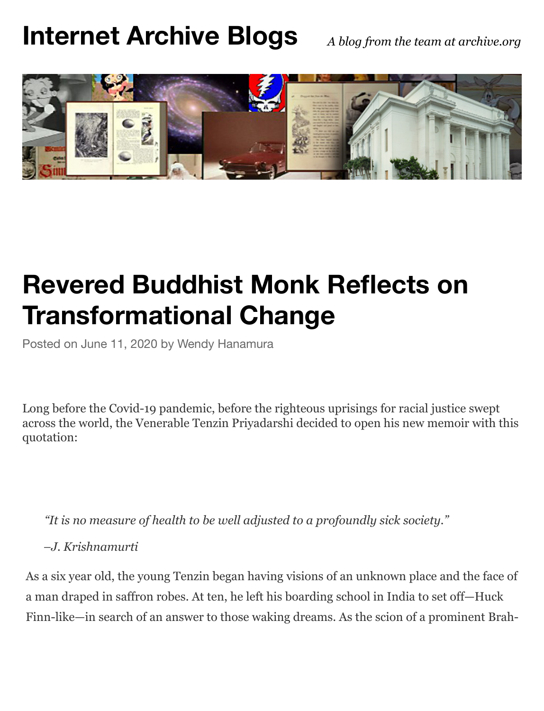## **[Internet Archive Blogs](https://blog.archive.org/)** *A blog from the team at archive.org*



## **Revered Buddhist Monk Reflects on Tran[sforma](https://blog.archive.org/2020/06/11/revered-buddhist-monk-reflects-on-transformational-change/)t[ional Ch](https://blog.archive.org/author/wendy/)ange**

Posted on June 11, 2020 by Wendy Hanamura

Long before the Covid-19 pandemic, before the righteous uprisings for racial justice swept across the world, the Venerable Tenzin Priyadarshi decided to open his new memoir with this quotation:

*"It is no measure of health to be well adjusted to a profoundly sick society."*

*–J. Krishnamurti*

As a six year old, the young Tenzin began having visions of an unknown place and the face of a man draped in saffron robes. At ten, he left his boarding school in India to set off—Huck Finn-like—in search of an answer to those waking dreams. As the scion of a prominent Brah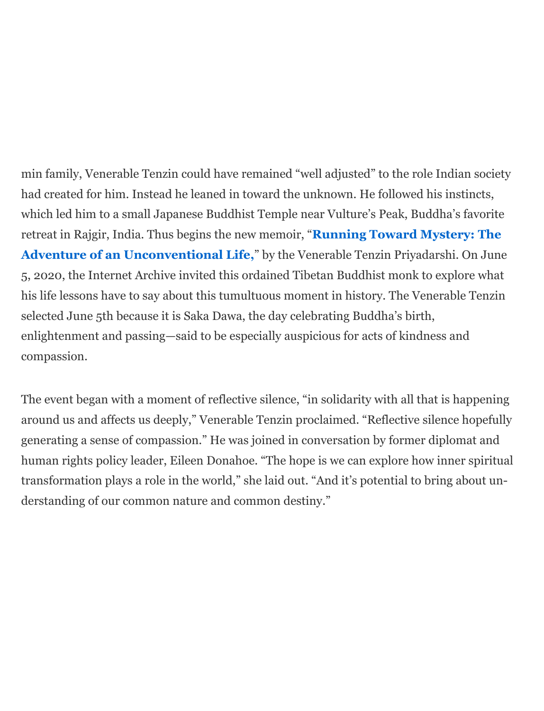min family, Venerable Tenzin could have remained "well adjusted" to the role Indian society had created for him. Instead he leaned in toward the unknown. He followed his instincts, which led him to a small Japanese Buddhist Temple near Vulture's Peak, Buddha's favorite retreat in Rajgir, India. Thus begins the new memoir, "**Running Toward Mystery: The Adventure of an Unconventional Life,**" by the Venerable Tenzin Priyadarshi. On June 5, 2020, the Internet Archive invited this ordained Tibetan Buddhist monk to explore what his life lessons have to say about this tumultuous moment in history. The Venerable Tenzin selected June 5th because it is Saka Dawa, the day celebrating Buddha's birth, enlightenment and passing—said to be especially auspicious for acts of kindness and compassion.

The event began with a moment of reflective silence, "in solidarity with all that is happening around us and affects us deeply," Venerable Tenzin proclaimed. "Reflective silence hopefully generating a sense of compassion." He was joined in conversation by former diplomat and human rights policy leader, Eileen Donahoe. "The hope is we can explore how inner spiritual transformation plays a role in the world," she laid out. "And it's potential to bring about understanding of our common nature and common destiny."